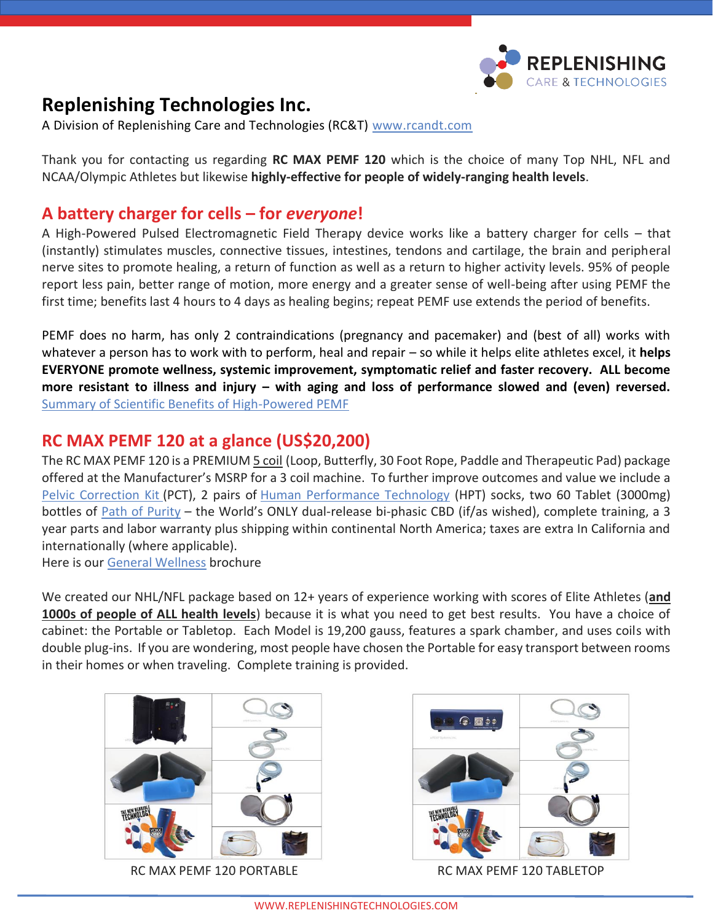

# **Replenishing Technologies Inc.**

A Division of Replenishing Care and Technologies (RC&T) [www.rcandt.com](http://www.rcandt.com/)

Thank you for contacting us regarding **RC MAX PEMF 120** which is the choice of many Top NHL, NFL and NCAA/Olympic Athletes but likewise **highly-effective for people of widely-ranging health levels**.

### **A battery charger for cells – for** *everyone***!**

A High-Powered Pulsed Electromagnetic Field Therapy device works like a battery charger for cells – that (instantly) stimulates muscles, connective tissues, intestines, tendons and cartilage, the brain and peripheral nerve sites to promote healing, a return of function as well as a return to higher activity levels. 95% of people report less pain, better range of motion, more energy and a greater sense of well-being after using PEMF the first time; benefits last 4 hours to 4 days as healing begins; repeat PEMF use extends the period of benefits.

PEMF does no harm, has only 2 contraindications (pregnancy and pacemaker) and (best of all) works with whatever a person has to work with to perform, heal and repair – so while it helps elite athletes excel, it **helps EVERYONE promote wellness, systemic improvement, symptomatic relief and faster recovery. ALL become more resistant to illness and injury – with aging and loss of performance slowed and (even) reversed.**  [Summary of Scientific Benefits of High-Powered PEMF](https://replenishingtechnologies.com/public/download/Summary-of-Scientific-Studies-regarding-the-Benefits-of-Pulsed-Electromagnetic-Field-Therapy-September-2020.pdf) 

## **RC MAX PEMF 120 at a glance (US\$20,200)**

The RC MAX PEMF 120 is a PREMIUM 5 coil (Loop, Butterfly, 30 Foot Rope, Paddle and Therapeutic Pad) package offered at the Manufacturer's MSRP for a 3 coil machine. To further improve outcomes and value we include a [Pelvic Correction Kit](https://rcandt.com/rct-tool-education/replenishing-technologies-a-la-carte-ingredients/pelvic-correction-technique-re-balance-pelvis-musculoskeletal-system) (PCT), 2 pairs of [Human Performance Technology](https://rcandt.com/rct-tool-education/replenishing-technologies-a-la-carte-ingredients/voxxlife-human-performance-technology-reboot-neurology-in-7-seconds) (HPT) socks, two 60 Tablet (3000mg) bottles of [Path of Purity](https://pathofpurity.com/why-path-of-purity/pop-explained) – the World's ONLY dual-release bi-phasic CBD (if/as wished), complete training, a 3 year parts and labor warranty plus shipping within continental North America; taxes are extra In California and internationally (where applicable).

Here is our [General Wellness](https://replenishingtechnologies.com/public/download/Best-life-best-performace-and-best-health-using-the-RC-MAX-PEMF-120.pdf) brochure

We created our NHL/NFL package based on 12+ years of experience working with scores of Elite Athletes (**and 1000s of people of ALL health levels**) because it is what you need to get best results. You have a choice of cabinet: the Portable or Tabletop. Each Model is 19,200 gauss, features a spark chamber, and uses coils with double plug-ins. If you are wondering, most people have chosen the Portable for easy transport between rooms in their homes or when traveling. Complete training is provided.



RC MAX PEMF 120 PORTABLE RC MAX PEMF 120 TABLETOP

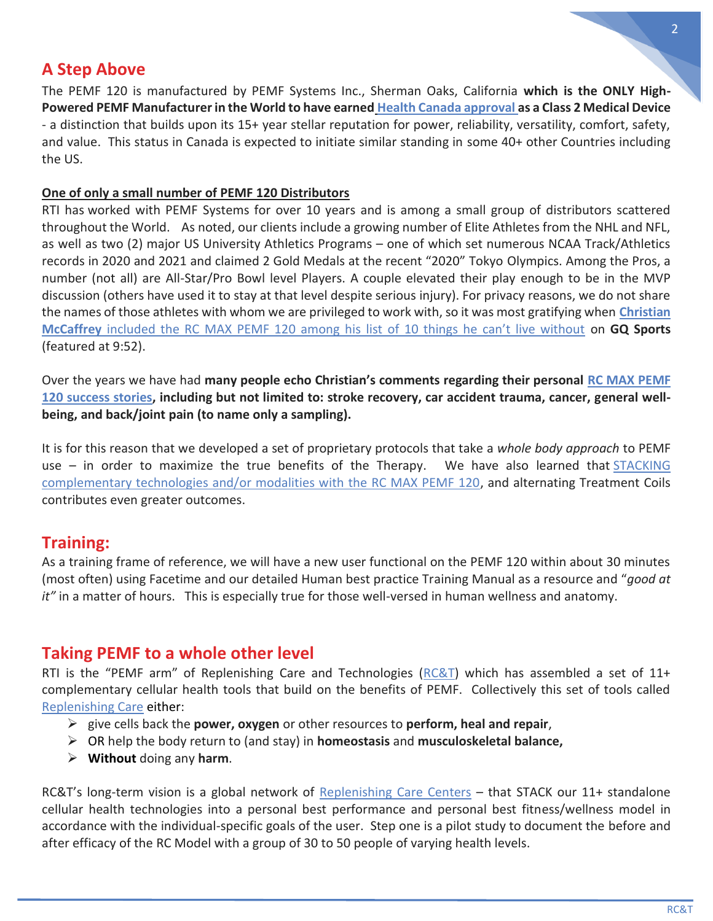## **A Step Above**

The PEMF 120 is manufactured by PEMF Systems Inc., Sherman Oaks, California **which is the ONLY High-Powered PEMF Manufacturer in the World to have earned [Health Canada approval](https://replenishingtechnologies.com/public/download/RC-MAX-PEMF-120-Manufacturer-ISO-13485.pdf) as a Class 2 Medical Device** - a distinction that builds upon its 15+ year stellar reputation for power, reliability, versatility, comfort, safety, and value. This status in Canada is expected to initiate similar standing in some 40+ other Countries including the US.

#### **One of only a small number of PEMF 120 Distributors**

RTI has worked with PEMF Systems for over 10 years and is among a small group of distributors scattered throughout the World. As noted, our clients include a growing number of Elite Athletes from the NHL and NFL, as well as two (2) major US University Athletics Programs – one of which set numerous NCAA Track/Athletics records in 2020 and 2021 and claimed 2 Gold Medals at the recent "2020" Tokyo Olympics. Among the Pros, a number (not all) are All-Star/Pro Bowl level Players. A couple elevated their play enough to be in the MVP discussion (others have used it to stay at that level despite serious injury). For privacy reasons, we do not share the names of those athletes with whom we are privileged to work with, so it was most gratifying when **[Christian](https://youtu.be/WeaixQZdMOg)  McCaffrey** [included the RC MAX PEMF 120 among his list of 10 things he can't live without](https://youtu.be/WeaixQZdMOg) on **GQ Sports** (featured at 9:52).

Over the years we have had **many people echo Christian's comments regarding their personal [RC MAX PEMF](https://replenishingtechnologies.com/why-pemf/pemf-success-stories)  [120 success stories,](https://replenishingtechnologies.com/why-pemf/pemf-success-stories) including but not limited to: stroke recovery, car accident trauma, cancer, general wellbeing, and back/joint pain (to name only a sampling).**

It is for this reason that we developed a set of proprietary protocols that take a *whole body approach* to PEMF use – in order to maximize the true benefits of the Therapy. We have also learned that [STACKING](https://rcandt.com/rct-tool-education)  [complementary technologies and/or modalities with the RC MAX PEMF 120,](https://rcandt.com/rct-tool-education) and alternating Treatment Coils contributes even greater outcomes.

### **[Training:](https://replenishingtechnologies.com/the-rti-difference)**

As a training frame of reference, we will have a new user functional on the PEMF 120 within about 30 minutes (most often) using Facetime and our detailed Human best practice Training Manual as a resource and "*good at it"* in a matter of hours. This is especially true for those well-versed in human wellness and anatomy.

## **Taking PEMF to a whole other level**

RTI is the "PEMF arm" of Replenishing Care and Technologies ([RC&T\)](https://rcandt.com/) which has assembled a set of 11+ complementary cellular health tools that build on the benefits of PEMF. Collectively this set of tools called [Replenishing Care](https://rcandt.com/rct-tool-education/replenishing-care-rc-recipe) either:

- ➢ give cells back the **power, oxygen** or other resources to **perform, heal and repair**,
- ➢ OR help the body return to (and stay) in **homeostasis** and **musculoskeletal balance,**
- ➢ **Without** doing any **harm**.

RC&T's long-term vision is a global network of [Replenishing Care Centers](https://replenishingcare.com/rc-explained/rc-model) – that STACK our 11+ standalone cellular health technologies into a personal best performance and personal best fitness/wellness model in accordance with the individual-specific goals of the user. Step one is a pilot study to document the before and after efficacy of the RC Model with a group of 30 to 50 people of varying health levels.